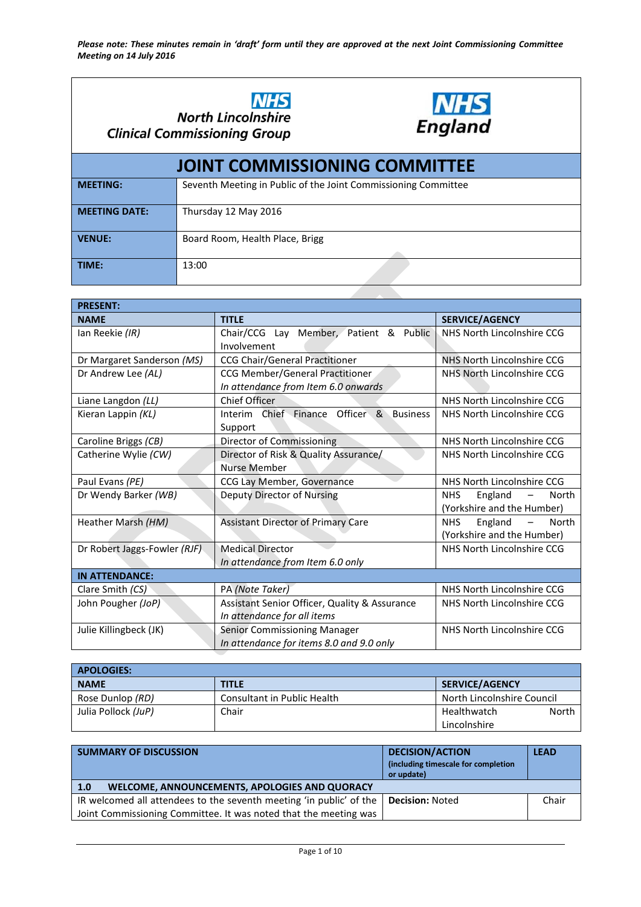



| <b>JOINT COMMISSIONING COMMITTEE</b> |                                                                |  |
|--------------------------------------|----------------------------------------------------------------|--|
| <b>MEETING:</b>                      | Seventh Meeting in Public of the Joint Commissioning Committee |  |
| <b>MEETING DATE:</b>                 | Thursday 12 May 2016                                           |  |
| <b>VENUE:</b>                        | Board Room, Health Place, Brigg                                |  |
| TIME:                                | 13:00                                                          |  |

| <b>PRESENT:</b>              |                                                    |                                                     |
|------------------------------|----------------------------------------------------|-----------------------------------------------------|
| <b>NAME</b>                  | <b>TITLE</b>                                       | <b>SERVICE/AGENCY</b>                               |
| Ian Reekie (IR)              | Chair/CCG Lay Member, Patient & Public             | NHS North Lincolnshire CCG                          |
|                              | Involvement                                        |                                                     |
| Dr Margaret Sanderson (MS)   | <b>CCG Chair/General Practitioner</b>              | NHS North Lincolnshire CCG                          |
| Dr Andrew Lee (AL)           | <b>CCG Member/General Practitioner</b>             | NHS North Lincolnshire CCG                          |
|                              | In attendance from Item 6.0 onwards                |                                                     |
| Liane Langdon (LL)           | <b>Chief Officer</b>                               | NHS North Lincolnshire CCG                          |
| Kieran Lappin (KL)           | Interim Chief Finance Officer &<br><b>Business</b> | NHS North Lincolnshire CCG                          |
|                              | Support                                            |                                                     |
| Caroline Briggs (CB)         | Director of Commissioning                          | NHS North Lincolnshire CCG                          |
| Catherine Wylie (CW)         | Director of Risk & Quality Assurance/              | NHS North Lincolnshire CCG                          |
|                              | Nurse Member                                       |                                                     |
| Paul Evans (PE)              | CCG Lay Member, Governance                         | NHS North Lincolnshire CCG                          |
| Dr Wendy Barker (WB)         | Deputy Director of Nursing                         | England<br><b>NHS</b><br>North<br>$\qquad \qquad -$ |
|                              |                                                    | (Yorkshire and the Humber)                          |
| Heather Marsh (HM)           | <b>Assistant Director of Primary Care</b>          | England<br>NHS.<br>North<br>$\qquad \qquad -$       |
|                              |                                                    | (Yorkshire and the Humber)                          |
| Dr Robert Jaggs-Fowler (RJF) | <b>Medical Director</b>                            | NHS North Lincolnshire CCG                          |
|                              | In attendance from Item 6.0 only                   |                                                     |
| <b>IN ATTENDANCE:</b>        |                                                    |                                                     |
| Clare Smith (CS)             | PA (Note Taker)                                    | NHS North Lincolnshire CCG                          |
| John Pougher (JoP)           | Assistant Senior Officer, Quality & Assurance      | NHS North Lincolnshire CCG                          |
|                              | In attendance for all items                        |                                                     |
| Julie Killingbeck (JK)       | Senior Commissioning Manager                       | NHS North Lincolnshire CCG                          |
|                              | In attendance for items 8.0 and 9.0 only           |                                                     |

| <b>APOLOGIES:</b>   |                             |                            |  |
|---------------------|-----------------------------|----------------------------|--|
| <b>NAME</b>         | <b>TITLE</b>                | <b>SERVICE/AGENCY</b>      |  |
| Rose Dunlop (RD)    | Consultant in Public Health | North Lincolnshire Council |  |
| Julia Pollock (JuP) | Chair                       | North<br>Healthwatch       |  |
|                     |                             | Lincolnshire               |  |

| <b>SUMMARY OF DISCUSSION</b>                                        | <b>DECISION/ACTION</b><br>(including timescale for completion<br>or update) | <b>LEAD</b> |
|---------------------------------------------------------------------|-----------------------------------------------------------------------------|-------------|
| WELCOME, ANNOUNCEMENTS, APOLOGIES AND QUORACY<br>1.0                |                                                                             |             |
| IR welcomed all attendees to the seventh meeting 'in public' of the | <b>Decision: Noted</b>                                                      | Chair       |
| Joint Commissioning Committee. It was noted that the meeting was    |                                                                             |             |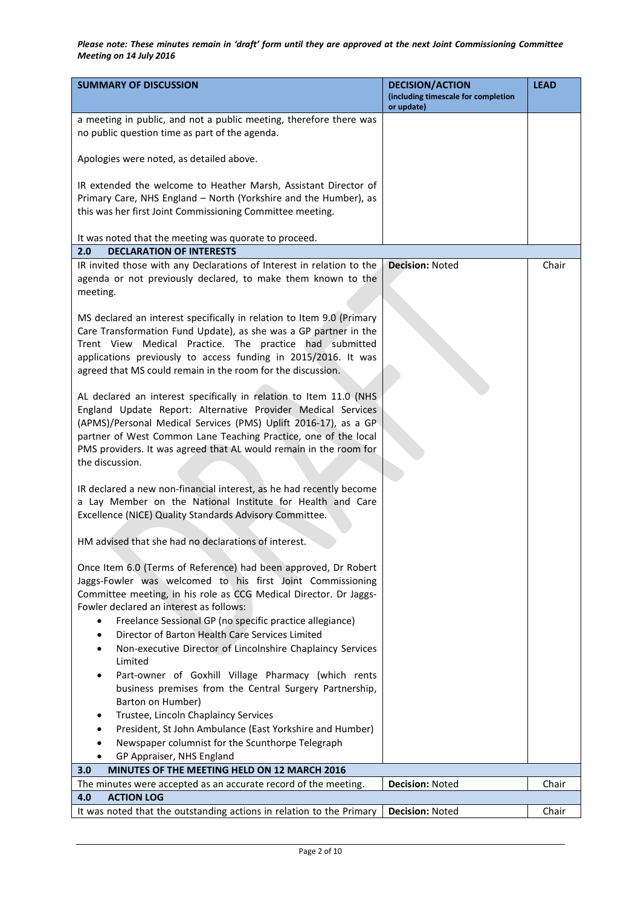| <b>SUMMARY OF DISCUSSION</b>                                                                                                                                                                                                                                                                                                                                                           | <b>DECISION/ACTION</b><br>(including timescale for completion | <b>LEAD</b> |
|----------------------------------------------------------------------------------------------------------------------------------------------------------------------------------------------------------------------------------------------------------------------------------------------------------------------------------------------------------------------------------------|---------------------------------------------------------------|-------------|
|                                                                                                                                                                                                                                                                                                                                                                                        | or update)                                                    |             |
| a meeting in public, and not a public meeting, therefore there was<br>no public question time as part of the agenda.                                                                                                                                                                                                                                                                   |                                                               |             |
| Apologies were noted, as detailed above.                                                                                                                                                                                                                                                                                                                                               |                                                               |             |
| IR extended the welcome to Heather Marsh, Assistant Director of<br>Primary Care, NHS England - North (Yorkshire and the Humber), as<br>this was her first Joint Commissioning Committee meeting.                                                                                                                                                                                       |                                                               |             |
| It was noted that the meeting was quorate to proceed.<br><b>DECLARATION OF INTERESTS</b><br>2.0                                                                                                                                                                                                                                                                                        |                                                               |             |
| IR invited those with any Declarations of Interest in relation to the<br>agenda or not previously declared, to make them known to the<br>meeting.                                                                                                                                                                                                                                      | <b>Decision: Noted</b>                                        | Chair       |
| MS declared an interest specifically in relation to Item 9.0 (Primary<br>Care Transformation Fund Update), as she was a GP partner in the<br>Trent View Medical Practice. The practice had submitted<br>applications previously to access funding in 2015/2016. It was<br>agreed that MS could remain in the room for the discussion.                                                  |                                                               |             |
| AL declared an interest specifically in relation to Item 11.0 (NHS<br>England Update Report: Alternative Provider Medical Services<br>(APMS)/Personal Medical Services (PMS) Uplift 2016-17), as a GP<br>partner of West Common Lane Teaching Practice, one of the local<br>PMS providers. It was agreed that AL would remain in the room for<br>the discussion.                       |                                                               |             |
| IR declared a new non-financial interest, as he had recently become<br>a Lay Member on the National Institute for Health and Care<br>Excellence (NICE) Quality Standards Advisory Committee.                                                                                                                                                                                           |                                                               |             |
| HM advised that she had no declarations of interest.                                                                                                                                                                                                                                                                                                                                   |                                                               |             |
| Once Item 6.0 (Terms of Reference) had been approved, Dr Robert<br>Jaggs-Fowler was welcomed to his first Joint Commissioning<br>Committee meeting, in his role as CCG Medical Director. Dr Jaggs-<br>Fowler declared an interest as follows:<br>Freelance Sessional GP (no specific practice allegiance)<br>$\bullet$<br>Director of Barton Health Care Services Limited<br>$\bullet$ |                                                               |             |
| Non-executive Director of Lincolnshire Chaplaincy Services<br>٠<br>Limited                                                                                                                                                                                                                                                                                                             |                                                               |             |
| Part-owner of Goxhill Village Pharmacy (which rents<br>٠<br>business premises from the Central Surgery Partnership,<br>Barton on Humber)                                                                                                                                                                                                                                               |                                                               |             |
| Trustee, Lincoln Chaplaincy Services<br>$\bullet$                                                                                                                                                                                                                                                                                                                                      |                                                               |             |
| President, St John Ambulance (East Yorkshire and Humber)<br>٠                                                                                                                                                                                                                                                                                                                          |                                                               |             |
| Newspaper columnist for the Scunthorpe Telegraph<br>٠                                                                                                                                                                                                                                                                                                                                  |                                                               |             |
| GP Appraiser, NHS England<br>MINUTES OF THE MEETING HELD ON 12 MARCH 2016<br>3.0                                                                                                                                                                                                                                                                                                       |                                                               |             |
| The minutes were accepted as an accurate record of the meeting.                                                                                                                                                                                                                                                                                                                        | Decision: Noted                                               | Chair       |
| 4.0<br><b>ACTION LOG</b>                                                                                                                                                                                                                                                                                                                                                               |                                                               |             |
| It was noted that the outstanding actions in relation to the Primary                                                                                                                                                                                                                                                                                                                   | <b>Decision: Noted</b>                                        | Chair       |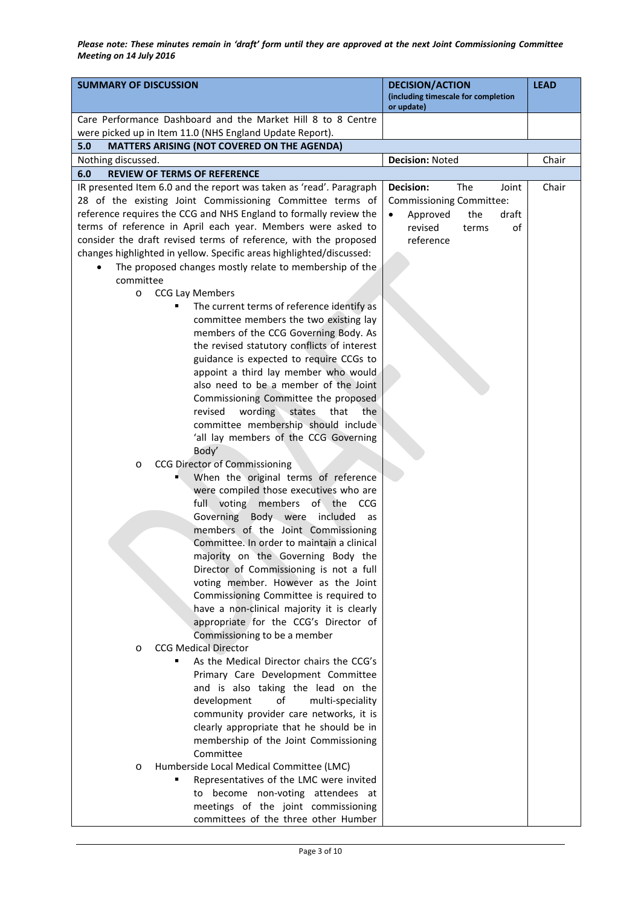| <b>SUMMARY OF DISCUSSION</b>                                                                                                                                                                                                                                                                                                                                                                                                                                                                                                                                                                                                                                                                                                                                                                                                                                                                                                                                                                                                                                                                                                                                                                                                                                                                                                                            | <b>DECISION/ACTION</b><br>(including timescale for completion<br>or update)                                              | <b>LEAD</b> |
|---------------------------------------------------------------------------------------------------------------------------------------------------------------------------------------------------------------------------------------------------------------------------------------------------------------------------------------------------------------------------------------------------------------------------------------------------------------------------------------------------------------------------------------------------------------------------------------------------------------------------------------------------------------------------------------------------------------------------------------------------------------------------------------------------------------------------------------------------------------------------------------------------------------------------------------------------------------------------------------------------------------------------------------------------------------------------------------------------------------------------------------------------------------------------------------------------------------------------------------------------------------------------------------------------------------------------------------------------------|--------------------------------------------------------------------------------------------------------------------------|-------------|
| Care Performance Dashboard and the Market Hill 8 to 8 Centre                                                                                                                                                                                                                                                                                                                                                                                                                                                                                                                                                                                                                                                                                                                                                                                                                                                                                                                                                                                                                                                                                                                                                                                                                                                                                            |                                                                                                                          |             |
| were picked up in Item 11.0 (NHS England Update Report).                                                                                                                                                                                                                                                                                                                                                                                                                                                                                                                                                                                                                                                                                                                                                                                                                                                                                                                                                                                                                                                                                                                                                                                                                                                                                                |                                                                                                                          |             |
| 5.0<br>MATTERS ARISING (NOT COVERED ON THE AGENDA)                                                                                                                                                                                                                                                                                                                                                                                                                                                                                                                                                                                                                                                                                                                                                                                                                                                                                                                                                                                                                                                                                                                                                                                                                                                                                                      |                                                                                                                          |             |
| Nothing discussed.                                                                                                                                                                                                                                                                                                                                                                                                                                                                                                                                                                                                                                                                                                                                                                                                                                                                                                                                                                                                                                                                                                                                                                                                                                                                                                                                      | <b>Decision: Noted</b>                                                                                                   | Chair       |
| 6.0<br><b>REVIEW OF TERMS OF REFERENCE</b>                                                                                                                                                                                                                                                                                                                                                                                                                                                                                                                                                                                                                                                                                                                                                                                                                                                                                                                                                                                                                                                                                                                                                                                                                                                                                                              |                                                                                                                          |             |
| IR presented Item 6.0 and the report was taken as 'read'. Paragraph<br>28 of the existing Joint Commissioning Committee terms of<br>reference requires the CCG and NHS England to formally review the<br>terms of reference in April each year. Members were asked to<br>consider the draft revised terms of reference, with the proposed<br>changes highlighted in yellow. Specific areas highlighted/discussed:<br>The proposed changes mostly relate to membership of the<br>committee<br><b>CCG Lay Members</b><br>O<br>The current terms of reference identify as<br>٠<br>committee members the two existing lay<br>members of the CCG Governing Body. As<br>the revised statutory conflicts of interest<br>guidance is expected to require CCGs to<br>appoint a third lay member who would<br>also need to be a member of the Joint<br>Commissioning Committee the proposed<br>revised<br>wording states<br>that<br>the<br>committee membership should include<br>'all lay members of the CCG Governing<br>Body'<br><b>CCG Director of Commissioning</b><br>O<br>When the original terms of reference<br>were compiled those executives who are<br>full voting members of the CCG<br>Governing Body were included<br>as<br>members of the Joint Commissioning<br>Committee. In order to maintain a clinical<br>majority on the Governing Body the | Decision:<br>The<br>Joint<br>Commissioning Committee:<br>Approved<br>the<br>draft<br>revised<br>of<br>terms<br>reference | Chair       |
| Director of Commissioning is not a full<br>voting member. However as the Joint<br>Commissioning Committee is required to<br>have a non-clinical majority it is clearly<br>appropriate for the CCG's Director of<br>Commissioning to be a member<br><b>CCG Medical Director</b><br>O<br>As the Medical Director chairs the CCG's<br>٠<br>Primary Care Development Committee<br>and is also taking the lead on the<br>development<br>οf<br>multi-speciality<br>community provider care networks, it is                                                                                                                                                                                                                                                                                                                                                                                                                                                                                                                                                                                                                                                                                                                                                                                                                                                    |                                                                                                                          |             |
| clearly appropriate that he should be in<br>membership of the Joint Commissioning<br>Committee<br>Humberside Local Medical Committee (LMC)<br>$\circ$<br>Representatives of the LMC were invited<br>to become non-voting attendees at<br>meetings of the joint commissioning<br>committees of the three other Humber                                                                                                                                                                                                                                                                                                                                                                                                                                                                                                                                                                                                                                                                                                                                                                                                                                                                                                                                                                                                                                    |                                                                                                                          |             |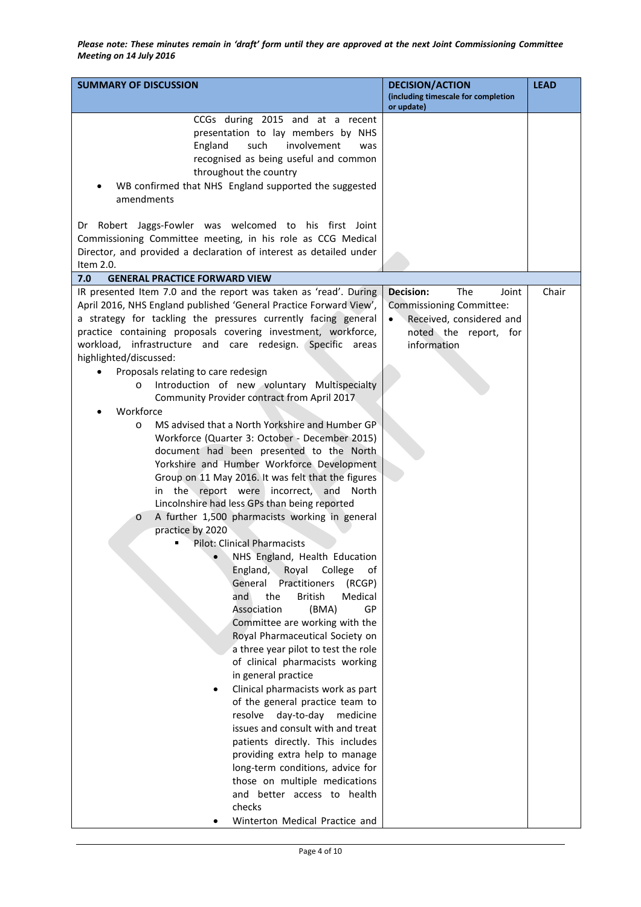| <b>SUMMARY OF DISCUSSION</b>                                                                                                                                                                                                                                                                                                                                                                                                                                                                                                                                                                                                                                                                                                                                                                                                                                                                             | <b>DECISION/ACTION</b><br>(including timescale for completion<br>or update)                                               | <b>LEAD</b> |
|----------------------------------------------------------------------------------------------------------------------------------------------------------------------------------------------------------------------------------------------------------------------------------------------------------------------------------------------------------------------------------------------------------------------------------------------------------------------------------------------------------------------------------------------------------------------------------------------------------------------------------------------------------------------------------------------------------------------------------------------------------------------------------------------------------------------------------------------------------------------------------------------------------|---------------------------------------------------------------------------------------------------------------------------|-------------|
| CCGs during 2015 and at a recent<br>presentation to lay members by NHS<br>involvement<br>England<br>such<br>was<br>recognised as being useful and common<br>throughout the country<br>WB confirmed that NHS England supported the suggested<br>amendments<br>Dr Robert Jaggs-Fowler was welcomed to his first Joint                                                                                                                                                                                                                                                                                                                                                                                                                                                                                                                                                                                      |                                                                                                                           |             |
| Commissioning Committee meeting, in his role as CCG Medical<br>Director, and provided a declaration of interest as detailed under<br>Item 2.0.                                                                                                                                                                                                                                                                                                                                                                                                                                                                                                                                                                                                                                                                                                                                                           |                                                                                                                           |             |
| 7.0<br><b>GENERAL PRACTICE FORWARD VIEW</b>                                                                                                                                                                                                                                                                                                                                                                                                                                                                                                                                                                                                                                                                                                                                                                                                                                                              |                                                                                                                           |             |
| IR presented Item 7.0 and the report was taken as 'read'. During<br>April 2016, NHS England published 'General Practice Forward View',<br>a strategy for tackling the pressures currently facing general<br>practice containing proposals covering investment, workforce,<br>workload, infrastructure and care redesign. Specific areas<br>highlighted/discussed:<br>Proposals relating to care redesign<br>Introduction of new voluntary Multispecialty<br>$\circ$<br>Community Provider contract from April 2017<br>Workforce<br>MS advised that a North Yorkshire and Humber GP<br>$\circ$<br>Workforce (Quarter 3: October - December 2015)<br>document had been presented to the North<br>Yorkshire and Humber Workforce Development<br>Group on 11 May 2016. It was felt that the figures<br>in the report were incorrect, and North                                                               | Decision:<br>The<br>Joint<br>Commissioning Committee:<br>Received, considered and<br>noted the report, for<br>information | Chair       |
| Lincolnshire had less GPs than being reported<br>A further 1,500 pharmacists working in general<br>$\circ$<br>practice by 2020<br><b>Pilot: Clinical Pharmacists</b><br>NHS England, Health Education<br>England,<br>Royal<br>College<br>of<br>General<br>Practitioners<br>(RCGP)<br>and<br>the<br><b>British</b><br>Medical<br>Association<br>(BMA)<br>GP<br>Committee are working with the<br>Royal Pharmaceutical Society on<br>a three year pilot to test the role<br>of clinical pharmacists working<br>in general practice<br>Clinical pharmacists work as part<br>of the general practice team to<br>resolve<br>day-to-day<br>medicine<br>issues and consult with and treat<br>patients directly. This includes<br>providing extra help to manage<br>long-term conditions, advice for<br>those on multiple medications<br>and better access to health<br>checks<br>Winterton Medical Practice and |                                                                                                                           |             |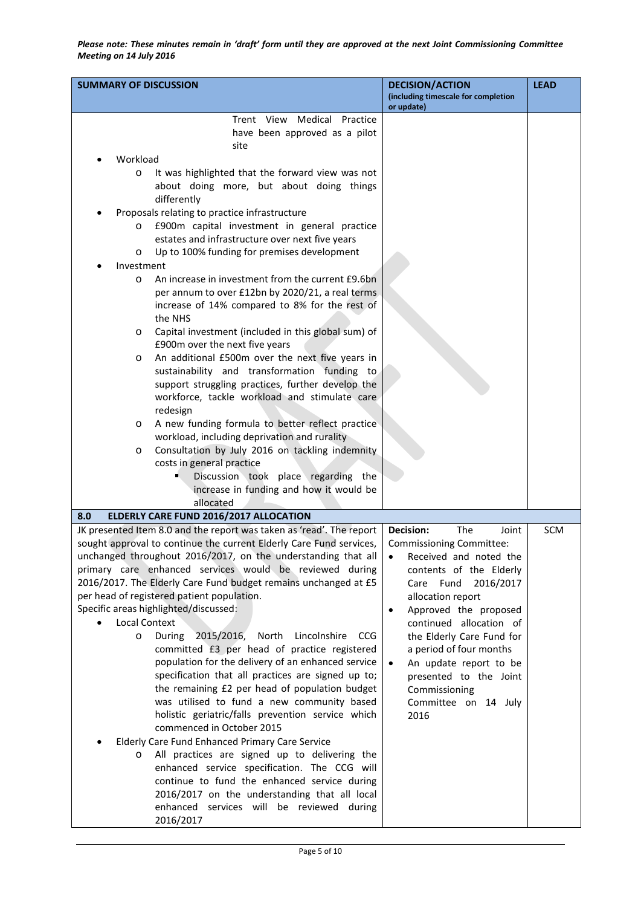| <b>SUMMARY OF DISCUSSION</b>                                                                                                                                                                                                                                                                                                                                                                                                                                                                                                                                                                                                                                                                                                                                                                                                                                                                                                                                                                                                                                                                                                                                                                                                                                             | <b>DECISION/ACTION</b><br>(including timescale for completion<br>or update)                                                                                                                                                                                                                                                                                                                           | <b>LEAD</b> |
|--------------------------------------------------------------------------------------------------------------------------------------------------------------------------------------------------------------------------------------------------------------------------------------------------------------------------------------------------------------------------------------------------------------------------------------------------------------------------------------------------------------------------------------------------------------------------------------------------------------------------------------------------------------------------------------------------------------------------------------------------------------------------------------------------------------------------------------------------------------------------------------------------------------------------------------------------------------------------------------------------------------------------------------------------------------------------------------------------------------------------------------------------------------------------------------------------------------------------------------------------------------------------|-------------------------------------------------------------------------------------------------------------------------------------------------------------------------------------------------------------------------------------------------------------------------------------------------------------------------------------------------------------------------------------------------------|-------------|
| Trent View Medical Practice<br>have been approved as a pilot<br>site<br>Workload<br>It was highlighted that the forward view was not<br>$\circ$<br>about doing more, but about doing things<br>differently<br>Proposals relating to practice infrastructure<br>£900m capital investment in general practice<br>$\circ$<br>estates and infrastructure over next five years<br>Up to 100% funding for premises development<br>$\circ$<br>Investment<br>An increase in investment from the current £9.6bn<br>$\circ$<br>per annum to over £12bn by 2020/21, a real terms<br>increase of 14% compared to 8% for the rest of<br>the NHS<br>Capital investment (included in this global sum) of<br>$\circ$<br>£900m over the next five years<br>An additional £500m over the next five years in<br>$\circ$<br>sustainability and transformation funding to<br>support struggling practices, further develop the<br>workforce, tackle workload and stimulate care<br>redesign<br>A new funding formula to better reflect practice<br>$\circ$<br>workload, including deprivation and rurality<br>Consultation by July 2016 on tackling indemnity<br>$\circ$<br>costs in general practice<br>Discussion took place regarding the<br>н,<br>increase in funding and how it would be |                                                                                                                                                                                                                                                                                                                                                                                                       |             |
| allocated                                                                                                                                                                                                                                                                                                                                                                                                                                                                                                                                                                                                                                                                                                                                                                                                                                                                                                                                                                                                                                                                                                                                                                                                                                                                |                                                                                                                                                                                                                                                                                                                                                                                                       |             |
| ELDERLY CARE FUND 2016/2017 ALLOCATION<br>8.0<br>JK presented Item 8.0 and the report was taken as 'read'. The report<br>sought approval to continue the current Elderly Care Fund services,<br>unchanged throughout 2016/2017, on the understanding that all<br>primary care enhanced services would be reviewed during<br>2016/2017. The Elderly Care Fund budget remains unchanged at £5<br>per head of registered patient population.<br>Specific areas highlighted/discussed:<br><b>Local Context</b><br>2015/2016,<br>During<br>North<br>Lincolnshire CCG<br>$\circ$<br>committed £3 per head of practice registered<br>population for the delivery of an enhanced service<br>specification that all practices are signed up to;<br>the remaining £2 per head of population budget<br>was utilised to fund a new community based<br>holistic geriatric/falls prevention service which<br>commenced in October 2015<br>Elderly Care Fund Enhanced Primary Care Service<br>All practices are signed up to delivering the<br>$\circ$<br>enhanced service specification. The CCG will<br>continue to fund the enhanced service during<br>2016/2017 on the understanding that all local<br>enhanced services will be reviewed during<br>2016/2017                       | <b>Decision:</b><br>The<br>Joint<br><b>Commissioning Committee:</b><br>Received and noted the<br>contents of the Elderly<br>Care Fund<br>2016/2017<br>allocation report<br>Approved the proposed<br>$\bullet$<br>continued allocation of<br>the Elderly Care Fund for<br>a period of four months<br>An update report to be<br>presented to the Joint<br>Commissioning<br>Committee on 14 July<br>2016 | SCM         |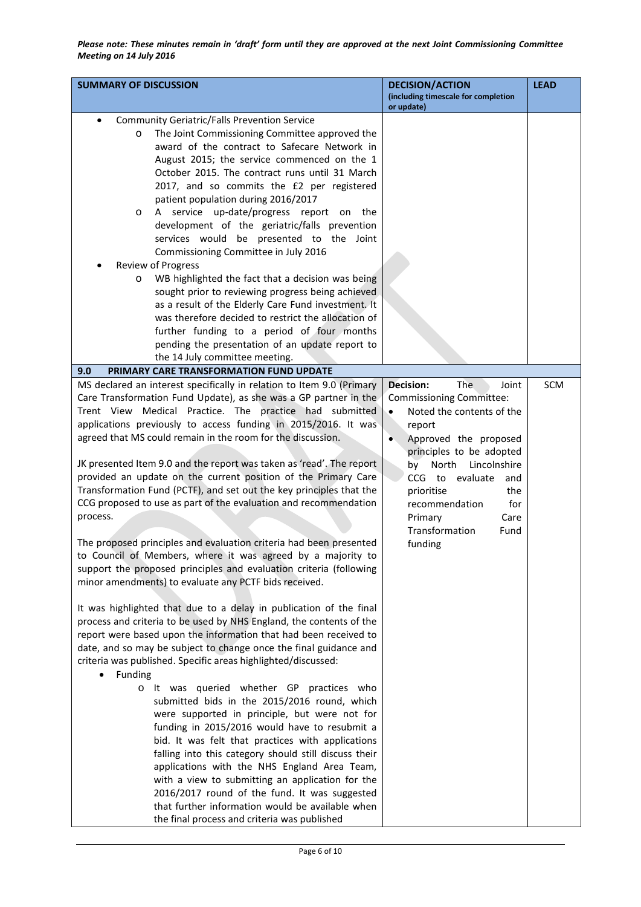| <b>SUMMARY OF DISCUSSION</b>                                                                                                                                                                                                                                                                                                                                                                                                                                                                                                                                                                                                                                                                                                                                                                                                                                                                                                                      | <b>DECISION/ACTION</b><br>(including timescale for completion<br>or update)                                                                                                                                                                                                                                                         | <b>LEAD</b> |
|---------------------------------------------------------------------------------------------------------------------------------------------------------------------------------------------------------------------------------------------------------------------------------------------------------------------------------------------------------------------------------------------------------------------------------------------------------------------------------------------------------------------------------------------------------------------------------------------------------------------------------------------------------------------------------------------------------------------------------------------------------------------------------------------------------------------------------------------------------------------------------------------------------------------------------------------------|-------------------------------------------------------------------------------------------------------------------------------------------------------------------------------------------------------------------------------------------------------------------------------------------------------------------------------------|-------------|
| <b>Community Geriatric/Falls Prevention Service</b><br>The Joint Commissioning Committee approved the<br>$\circ$<br>award of the contract to Safecare Network in<br>August 2015; the service commenced on the 1<br>October 2015. The contract runs until 31 March<br>2017, and so commits the £2 per registered<br>patient population during 2016/2017<br>A service up-date/progress report on<br>the<br>$\circ$<br>development of the geriatric/falls prevention<br>services would be presented to the Joint<br>Commissioning Committee in July 2016<br>Review of Progress<br>WB highlighted the fact that a decision was being<br>$\circ$<br>sought prior to reviewing progress being achieved<br>as a result of the Elderly Care Fund investment. It<br>was therefore decided to restrict the allocation of<br>further funding to a period of four months<br>pending the presentation of an update report to<br>the 14 July committee meeting. |                                                                                                                                                                                                                                                                                                                                     |             |
| PRIMARY CARE TRANSFORMATION FUND UPDATE<br>9.0                                                                                                                                                                                                                                                                                                                                                                                                                                                                                                                                                                                                                                                                                                                                                                                                                                                                                                    |                                                                                                                                                                                                                                                                                                                                     |             |
| MS declared an interest specifically in relation to Item 9.0 (Primary<br>Care Transformation Fund Update), as she was a GP partner in the<br>Medical Practice. The practice had submitted<br>Trent View<br>applications previously to access funding in 2015/2016. It was<br>agreed that MS could remain in the room for the discussion.<br>JK presented Item 9.0 and the report was taken as 'read'. The report<br>provided an update on the current position of the Primary Care<br>Transformation Fund (PCTF), and set out the key principles that the<br>CCG proposed to use as part of the evaluation and recommendation<br>process.<br>The proposed principles and evaluation criteria had been presented<br>to Council of Members, where it was agreed by a majority to<br>support the proposed principles and evaluation criteria (following<br>minor amendments) to evaluate any PCTF bids received.                                     | The<br><b>Decision:</b><br>Joint<br><b>Commissioning Committee:</b><br>Noted the contents of the<br>report<br>Approved the proposed<br>۰<br>principles to be adopted<br>North<br>Lincolnshire<br>bv<br>CCG to evaluate<br>and<br>prioritise<br>the<br>recommendation<br>for<br>Primary<br>Care<br>Transformation<br>Fund<br>funding | SCM         |
| It was highlighted that due to a delay in publication of the final<br>process and criteria to be used by NHS England, the contents of the<br>report were based upon the information that had been received to<br>date, and so may be subject to change once the final guidance and<br>criteria was published. Specific areas highlighted/discussed:<br>Funding<br>o It was queried whether GP practices who<br>submitted bids in the 2015/2016 round, which<br>were supported in principle, but were not for<br>funding in 2015/2016 would have to resubmit a<br>bid. It was felt that practices with applications<br>falling into this category should still discuss their<br>applications with the NHS England Area Team,<br>with a view to submitting an application for the<br>2016/2017 round of the fund. It was suggested<br>that further information would be available when<br>the final process and criteria was published              |                                                                                                                                                                                                                                                                                                                                     |             |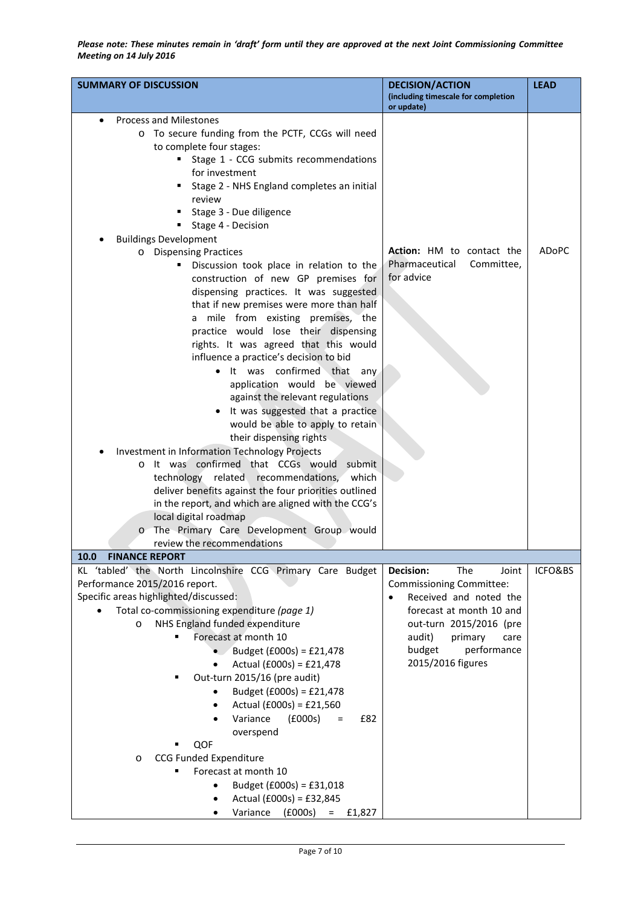| <b>SUMMARY OF DISCUSSION</b>                                                                       | <b>DECISION/ACTION</b><br>(including timescale for completion<br>or update) | <b>LEAD</b> |
|----------------------------------------------------------------------------------------------------|-----------------------------------------------------------------------------|-------------|
| <b>Process and Milestones</b><br>$\bullet$                                                         |                                                                             |             |
| o To secure funding from the PCTF, CCGs will need                                                  |                                                                             |             |
| to complete four stages:                                                                           |                                                                             |             |
| Stage 1 - CCG submits recommendations<br>٠                                                         |                                                                             |             |
| for investment                                                                                     |                                                                             |             |
| Stage 2 - NHS England completes an initial                                                         |                                                                             |             |
| review                                                                                             |                                                                             |             |
| Stage 3 - Due diligence                                                                            |                                                                             |             |
| Stage 4 - Decision                                                                                 |                                                                             |             |
| <b>Buildings Development</b>                                                                       |                                                                             |             |
| o Dispensing Practices                                                                             | Action: HM to contact the                                                   | ADoPC       |
| Discussion took place in relation to the<br>٠                                                      | Pharmaceutical<br>Committee,                                                |             |
| construction of new GP premises for                                                                | for advice                                                                  |             |
| dispensing practices. It was suggested                                                             |                                                                             |             |
| that if new premises were more than half                                                           |                                                                             |             |
| a mile from existing premises, the                                                                 |                                                                             |             |
| practice would lose their dispensing                                                               |                                                                             |             |
| rights. It was agreed that this would                                                              |                                                                             |             |
| influence a practice's decision to bid                                                             |                                                                             |             |
| It was confirmed that<br>any                                                                       |                                                                             |             |
| application would be viewed                                                                        |                                                                             |             |
| against the relevant regulations                                                                   |                                                                             |             |
| It was suggested that a practice                                                                   |                                                                             |             |
| would be able to apply to retain                                                                   |                                                                             |             |
| their dispensing rights                                                                            |                                                                             |             |
| Investment in Information Technology Projects                                                      |                                                                             |             |
| It was confirmed that CCGs would submit<br>$\circ$<br>technology related recommendations,<br>which |                                                                             |             |
| deliver benefits against the four priorities outlined                                              |                                                                             |             |
| in the report, and which are aligned with the CCG's                                                |                                                                             |             |
| local digital roadmap                                                                              |                                                                             |             |
| The Primary Care Development Group would<br>$\circ$                                                |                                                                             |             |
| review the recommendations                                                                         |                                                                             |             |
| 10.0 FINANCE REPORT                                                                                |                                                                             |             |
| KL 'tabled' the North Lincolnshire CCG Primary Care Budget                                         | Decision:<br>The<br>Joint                                                   | ICFO&BS     |
| Performance 2015/2016 report.                                                                      | <b>Commissioning Committee:</b>                                             |             |
| Specific areas highlighted/discussed:                                                              | Received and noted the<br>$\bullet$                                         |             |
| Total co-commissioning expenditure (page 1)                                                        | forecast at month 10 and                                                    |             |
| NHS England funded expenditure<br>O                                                                | out-turn 2015/2016 (pre                                                     |             |
| Forecast at month 10                                                                               | audit)<br>primary<br>care                                                   |             |
| Budget (£000s) = £21,478                                                                           | budget<br>performance                                                       |             |
| Actual (£000s) = £21,478                                                                           | 2015/2016 figures                                                           |             |
| Out-turn 2015/16 (pre audit)                                                                       |                                                                             |             |
| Budget (£000s) = £21,478<br>٠                                                                      |                                                                             |             |
| Actual (£000s) = £21,560                                                                           |                                                                             |             |
| Variance<br>(£000s)<br>£82<br>$=$                                                                  |                                                                             |             |
| overspend                                                                                          |                                                                             |             |
| QOF                                                                                                |                                                                             |             |
| <b>CCG Funded Expenditure</b><br>O                                                                 |                                                                             |             |
| Forecast at month 10                                                                               |                                                                             |             |
| Budget (£000s) = £31,018                                                                           |                                                                             |             |
| Actual (£000s) = £32,845                                                                           |                                                                             |             |
| (£000s)<br>Variance<br>$=$<br>£1,827                                                               |                                                                             |             |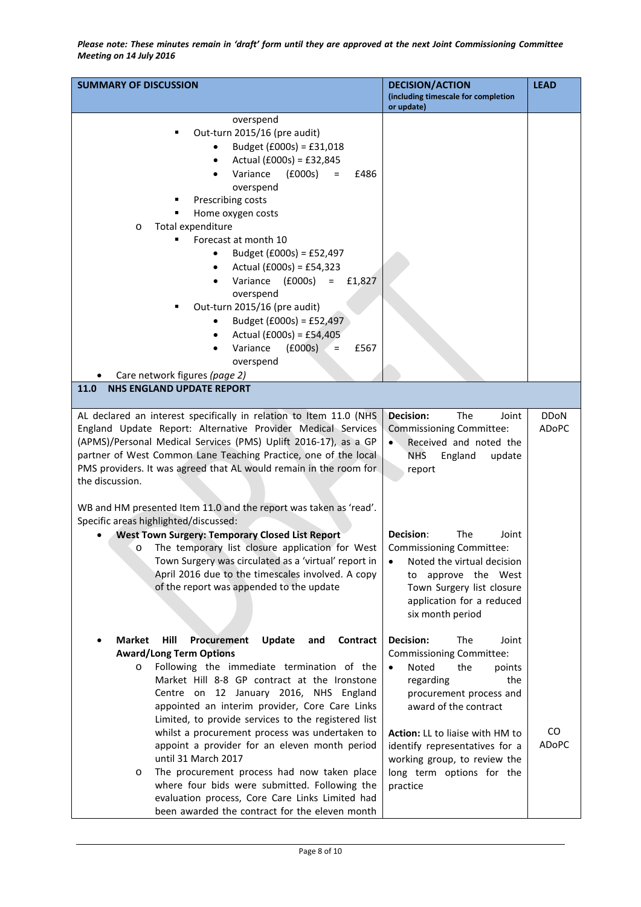| <b>SUMMARY OF DISCUSSION</b>                                                                                                                                                                                                                                                                                                                                                                                                                                                                                                                                                                                                                                                                        | <b>DECISION/ACTION</b><br>(including timescale for completion<br>or update)                                                                                                                                                                                                                                  | <b>LEAD</b>        |
|-----------------------------------------------------------------------------------------------------------------------------------------------------------------------------------------------------------------------------------------------------------------------------------------------------------------------------------------------------------------------------------------------------------------------------------------------------------------------------------------------------------------------------------------------------------------------------------------------------------------------------------------------------------------------------------------------------|--------------------------------------------------------------------------------------------------------------------------------------------------------------------------------------------------------------------------------------------------------------------------------------------------------------|--------------------|
| overspend<br>Out-turn 2015/16 (pre audit)<br>Budget (£000s) = £31,018<br>Actual (£000s) = £32,845<br>$\bullet$<br>Variance<br>(£000s)<br>$=$<br>£486<br>$\bullet$<br>overspend<br>Prescribing costs<br>Home oxygen costs<br>Total expenditure<br>$\circ$<br>Forecast at month 10<br>Budget (£000s) = £52,497<br>$\bullet$<br>Actual (£000s) = £54,323<br>$\bullet$<br>Variance<br>(£000s)<br>£1,827<br>$\equiv$<br>overspend<br>Out-turn 2015/16 (pre audit)<br>Budget (£000s) = £52,497<br>Actual (£000s) = £54,405<br>$\bullet$<br>Variance<br>(£000s)<br>£567<br>$=$<br>overspend<br>Care network figures (page 2)<br>11.0<br><b>NHS ENGLAND UPDATE REPORT</b>                                   |                                                                                                                                                                                                                                                                                                              |                    |
|                                                                                                                                                                                                                                                                                                                                                                                                                                                                                                                                                                                                                                                                                                     | <b>Decision:</b><br>The<br>Joint                                                                                                                                                                                                                                                                             | <b>DDoN</b>        |
| AL declared an interest specifically in relation to Item 11.0 (NHS<br>England Update Report: Alternative Provider Medical Services<br>(APMS)/Personal Medical Services (PMS) Uplift 2016-17), as a GP<br>partner of West Common Lane Teaching Practice, one of the local<br>PMS providers. It was agreed that AL would remain in the room for<br>the discussion.<br>WB and HM presented Item 11.0 and the report was taken as 'read'.<br>Specific areas highlighted/discussed:                                                                                                                                                                                                                      | <b>Commissioning Committee:</b><br>Received and noted the<br><b>NHS</b><br>England<br>update<br>report                                                                                                                                                                                                       | ADoPC              |
| <b>West Town Surgery: Temporary Closed List Report</b><br>The temporary list closure application for West<br>O<br>Town Surgery was circulated as a 'virtual' report in<br>April 2016 due to the timescales involved. A copy<br>of the report was appended to the update                                                                                                                                                                                                                                                                                                                                                                                                                             | The<br>Decision:<br>Joint<br>Commissioning Committee:<br>Noted the virtual decision<br>$\bullet$<br>approve the West<br>to<br>Town Surgery list closure<br>application for a reduced<br>six month period                                                                                                     |                    |
| <b>Market</b><br>Hill<br>Procurement<br>Update<br>Contract<br>and<br><b>Award/Long Term Options</b><br>Following the immediate termination of the<br>O<br>Market Hill 8-8 GP contract at the Ironstone<br>Centre on 12 January 2016, NHS England<br>appointed an interim provider, Core Care Links<br>Limited, to provide services to the registered list<br>whilst a procurement process was undertaken to<br>appoint a provider for an eleven month period<br>until 31 March 2017<br>The procurement process had now taken place<br>$\circ$<br>where four bids were submitted. Following the<br>evaluation process, Core Care Links Limited had<br>been awarded the contract for the eleven month | <b>Decision:</b><br>The<br>Joint<br>Commissioning Committee:<br>Noted<br>the<br>points<br>the<br>regarding<br>procurement process and<br>award of the contract<br>Action: LL to liaise with HM to<br>identify representatives for a<br>working group, to review the<br>long term options for the<br>practice | CO<br><b>ADoPC</b> |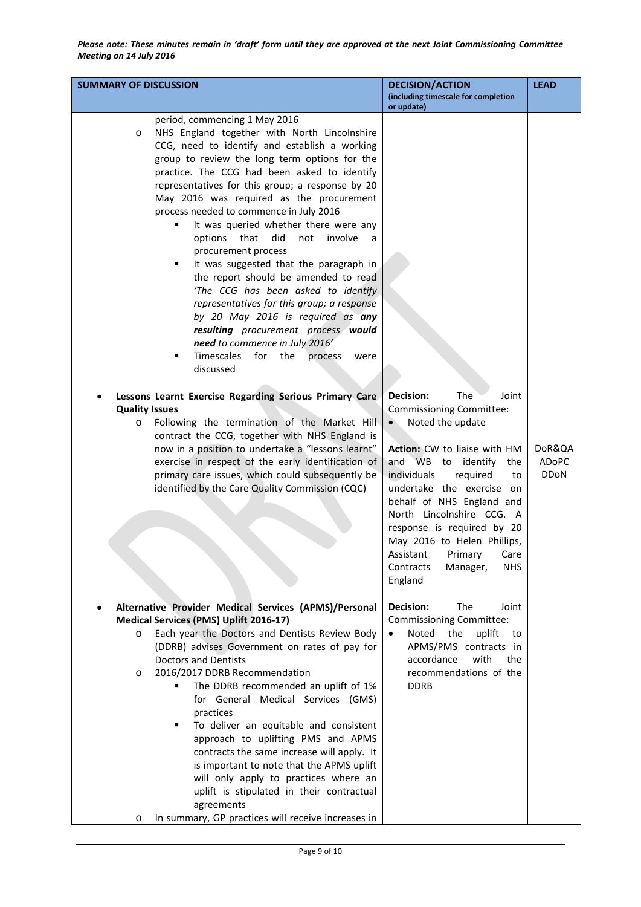| <b>SUMMARY OF DISCUSSION</b>                                                                                                                                                                                                                                                                                                                                                                                                                                                                                                                                                                                                                                                                                                                                                                                                                                                                                                                                                                                                                                                                                                                                                                                                                                                                    | <b>DECISION/ACTION</b><br>(including timescale for completion<br>or update)                                                                                                                                                                                                                                                                                                                                           | <b>LEAD</b>                    |
|-------------------------------------------------------------------------------------------------------------------------------------------------------------------------------------------------------------------------------------------------------------------------------------------------------------------------------------------------------------------------------------------------------------------------------------------------------------------------------------------------------------------------------------------------------------------------------------------------------------------------------------------------------------------------------------------------------------------------------------------------------------------------------------------------------------------------------------------------------------------------------------------------------------------------------------------------------------------------------------------------------------------------------------------------------------------------------------------------------------------------------------------------------------------------------------------------------------------------------------------------------------------------------------------------|-----------------------------------------------------------------------------------------------------------------------------------------------------------------------------------------------------------------------------------------------------------------------------------------------------------------------------------------------------------------------------------------------------------------------|--------------------------------|
| period, commencing 1 May 2016<br>NHS England together with North Lincolnshire<br>$\circ$<br>CCG, need to identify and establish a working<br>group to review the long term options for the<br>practice. The CCG had been asked to identify<br>representatives for this group; a response by 20<br>May 2016 was required as the procurement<br>process needed to commence in July 2016<br>It was queried whether there were any<br>٠<br>that<br>did<br>not<br>involve<br>options<br>$\overline{a}$<br>procurement process<br>It was suggested that the paragraph in<br>٠<br>the report should be amended to read<br>'The CCG has been asked to identify<br>representatives for this group; a response<br>by 20 May 2016 is required as any<br>resulting procurement process would<br>need to commence in July 2016'<br>Timescales<br>for<br>the<br>٠<br>process<br>were<br>discussed<br>Lessons Learnt Exercise Regarding Serious Primary Care<br><b>Quality Issues</b><br>Following the termination of the Market Hill<br>O<br>contract the CCG, together with NHS England is<br>now in a position to undertake a "lessons learnt"<br>exercise in respect of the early identification of<br>primary care issues, which could subsequently be<br>identified by the Care Quality Commission (CQC) | <b>Decision:</b><br>The<br>Joint<br><b>Commissioning Committee:</b><br>Noted the update<br>Action: CW to liaise with HM<br>and WB to identify<br>the<br>individuals<br>required<br>to<br>undertake the exercise on<br>behalf of NHS England and<br>North Lincolnshire CCG. A<br>response is required by 20<br>May 2016 to Helen Phillips,<br>Assistant Primary Care<br>Contracts<br><b>NHS</b><br>Manager,<br>England | DoR&QA<br>ADoPC<br><b>DDoN</b> |
| Alternative Provider Medical Services (APMS)/Personal<br>Medical Services (PMS) Uplift 2016-17)<br>Each year the Doctors and Dentists Review Body<br>$\circ$<br>(DDRB) advises Government on rates of pay for<br><b>Doctors and Dentists</b><br>2016/2017 DDRB Recommendation<br>O<br>The DDRB recommended an uplift of 1%<br>for General Medical Services (GMS)<br>practices<br>To deliver an equitable and consistent<br>٠<br>approach to uplifting PMS and APMS<br>contracts the same increase will apply. It<br>is important to note that the APMS uplift<br>will only apply to practices where an<br>uplift is stipulated in their contractual<br>agreements<br>In summary, GP practices will receive increases in<br>$\circ$                                                                                                                                                                                                                                                                                                                                                                                                                                                                                                                                                              | <b>Decision:</b><br>The<br>Joint<br><b>Commissioning Committee:</b><br>the<br>Noted<br>uplift<br>to<br>$\bullet$<br>APMS/PMS contracts in<br>accordance<br>with<br>the<br>recommendations of the<br><b>DDRB</b>                                                                                                                                                                                                       |                                |